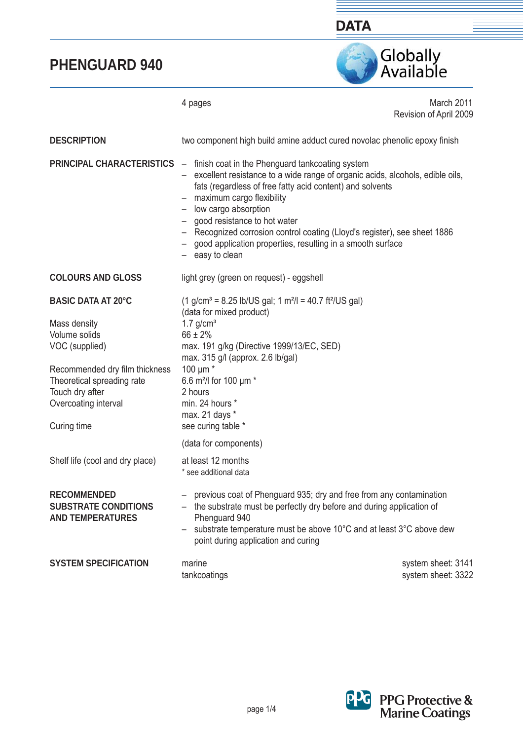

4 pages March 2011 Revision of April 2009 two component high build amine adduct cured novolac phenolic epoxy finish **PRINCIPAL CHARACTERISTICS** – finish coat in the Phenguard tankcoating system – excellent resistance to a wide range of organic acids, alcohols, edible oils, fats (regardless of free fatty acid content) and solvents  $-$  maximum cargo flexibility – low cargo absorption – good resistance to hot water – Recognized corrosion control coating (Lloyd's register), see sheet 1886 – good application properties, resulting in a smooth surface easy to clean light grey (green on request) - eggshell  $(1 \text{ g/cm}^3 = 8.25 \text{ lb/US gal}; 1 \text{ m}^2/\text{J} = 40.7 \text{ ft}^2/\text{US gal})$ (data for mixed product)  $1.7$  g/cm<sup>3</sup>  $66 + 2%$ max. 191 g/kg (Directive 1999/13/EC, SED) max. 315 g/l (approx. 2.6 lb/gal) 100 μm \* 6.6 m²/l for 100 μm \* 2 hours min. 24 hours \* max. 21 days \* see curing table \* (data for components) at least 12 months \* see additional data – previous coat of Phenguard 935; dry and free from any contamination – the substrate must be perfectly dry before and during application of Phenguard 940 – substrate temperature must be above 10°C and at least 3°C above dew point during application and curing marine system sheet: 3141 **DESCRIPTION COLOURS AND GLOSS BASIC DATA AT 20°C**  Mass density Volume solids VOC (supplied) Recommended dry film thickness Theoretical spreading rate Touch dry after Overcoating interval Curing time Shelf life (cool and dry place) **RECOMMENDED SUBSTRATE CONDITIONS AND TEMPERATURES SYSTEM SPECIFICATION** 



tankcoatings system sheet: 3322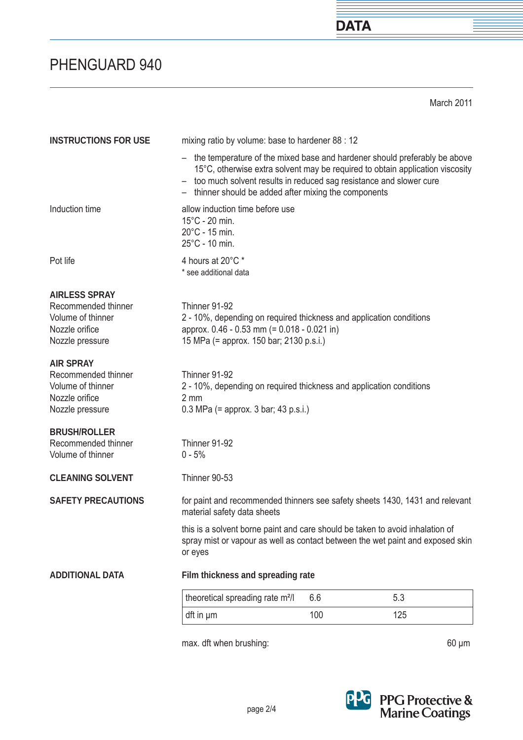March 2011

**DATA** 

| <b>INSTRUCTIONS FOR USE</b>                                                                           | mixing ratio by volume: base to hardener 88 : 12                                                                                                                                                                                                                                              |     |     |
|-------------------------------------------------------------------------------------------------------|-----------------------------------------------------------------------------------------------------------------------------------------------------------------------------------------------------------------------------------------------------------------------------------------------|-----|-----|
|                                                                                                       | - the temperature of the mixed base and hardener should preferably be above<br>15°C, otherwise extra solvent may be required to obtain application viscosity<br>- too much solvent results in reduced sag resistance and slower cure<br>- thinner should be added after mixing the components |     |     |
| Induction time                                                                                        | allow induction time before use<br>$15^{\circ}$ C - 20 min.<br>$20^{\circ}$ C - 15 min.<br>$25^{\circ}$ C - 10 min.                                                                                                                                                                           |     |     |
| Pot life                                                                                              | 4 hours at 20°C *<br>* see additional data                                                                                                                                                                                                                                                    |     |     |
| <b>AIRLESS SPRAY</b><br>Recommended thinner<br>Volume of thinner<br>Nozzle orifice<br>Nozzle pressure | Thinner 91-92<br>2 - 10%, depending on required thickness and application conditions<br>approx. 0.46 - 0.53 mm (= 0.018 - 0.021 in)<br>15 MPa (= approx. 150 bar; 2130 p.s.i.)                                                                                                                |     |     |
| <b>AIR SPRAY</b><br>Recommended thinner<br>Volume of thinner<br>Nozzle orifice<br>Nozzle pressure     | Thinner 91-92<br>2 - 10%, depending on required thickness and application conditions<br>2 mm<br>$0.3$ MPa (= approx. 3 bar; 43 p.s.i.)                                                                                                                                                        |     |     |
| <b>BRUSH/ROLLER</b><br>Recommended thinner<br>Volume of thinner                                       | Thinner 91-92<br>$0 - 5%$                                                                                                                                                                                                                                                                     |     |     |
| <b>CLEANING SOLVENT</b>                                                                               | Thinner 90-53                                                                                                                                                                                                                                                                                 |     |     |
| <b>SAFETY PRECAUTIONS</b>                                                                             | for paint and recommended thinners see safety sheets 1430, 1431 and relevant<br>material safety data sheets                                                                                                                                                                                   |     |     |
|                                                                                                       | this is a solvent borne paint and care should be taken to avoid inhalation of<br>spray mist or vapour as well as contact between the wet paint and exposed skin<br>or eyes                                                                                                                    |     |     |
| <b>ADDITIONAL DATA</b>                                                                                | Film thickness and spreading rate                                                                                                                                                                                                                                                             |     |     |
|                                                                                                       | theoretical spreading rate m <sup>2</sup> /l                                                                                                                                                                                                                                                  | 6.6 | 5.3 |
|                                                                                                       | dft in µm                                                                                                                                                                                                                                                                                     | 100 | 125 |
|                                                                                                       |                                                                                                                                                                                                                                                                                               |     |     |

max. dft when brushing: 60 μm



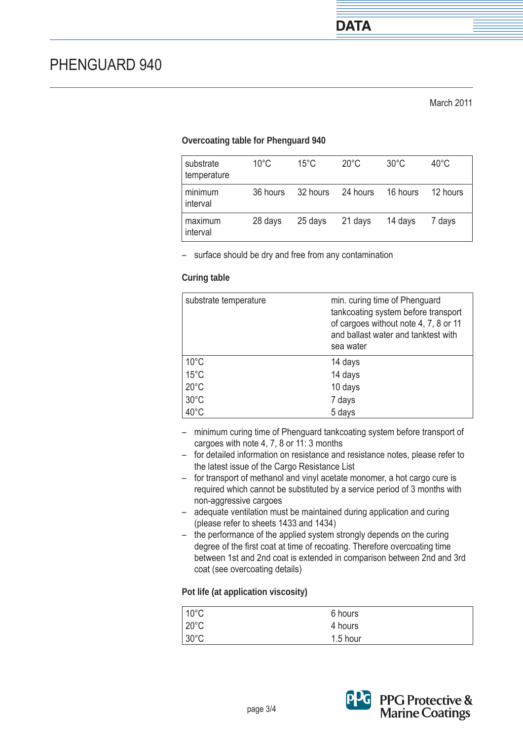### **Overcoating table for Phenguard 940**

| substrate<br>temperature | $10^{\circ}$ C | $15^{\circ}$ C | $20^{\circ}$ C | $30^{\circ}$ C | $40^{\circ}$ C |
|--------------------------|----------------|----------------|----------------|----------------|----------------|
| minimum<br>interval      | 36 hours       | 32 hours       | 24 hours       | 16 hours       | 12 hours       |
| maximum<br>interval      | 28 days        | 25 days        | 21 days        | 14 days        | 7 days         |

– surface should be dry and free from any contamination

#### **Curing table**

| substrate temperature | min. curing time of Phenguard<br>tankcoating system before transport<br>of cargoes without note 4, 7, 8 or 11<br>and ballast water and tanktest with<br>sea water |
|-----------------------|-------------------------------------------------------------------------------------------------------------------------------------------------------------------|
| $10^{\circ}$ C        | 14 days                                                                                                                                                           |
| $15^{\circ}$ C        | 14 days                                                                                                                                                           |
| $20^{\circ}$ C        | 10 days                                                                                                                                                           |
| $30^{\circ}$ C        | 7 days                                                                                                                                                            |
| $40^{\circ}$ C        | 5 days                                                                                                                                                            |

- minimum curing time of Phenguard tankcoating system before transport of cargoes with note 4, 7, 8 or 11: 3 months
- for detailed information on resistance and resistance notes, please refer to the latest issue of the Cargo Resistance List
- for transport of methanol and vinyl acetate monomer, a hot cargo cure is required which cannot be substituted by a service period of 3 months with non-aggressive cargoes
- adequate ventilation must be maintained during application and curing (please refer to sheets 1433 and 1434)
- the performance of the applied system strongly depends on the curing degree of the first coat at time of recoating. Therefore overcoating time between 1st and 2nd coat is extended in comparison between 2nd and 3rd coat (see overcoating details)

#### **Pot life (at application viscosity)**

| $10^{\circ}$ C | 6 hours  |  |
|----------------|----------|--|
| $20^{\circ}$ C | 4 hours  |  |
| $30^{\circ}$ C | 1.5 hour |  |